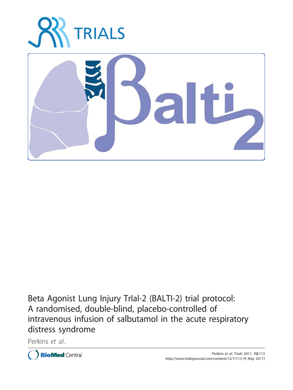



Beta Agonist Lung Injury TrIal-2 (BALTI-2) trial protocol: A randomised, double-blind, placebo-controlled of intravenous infusion of salbutamol in the acute respiratory distress syndrome

Perkins et al.

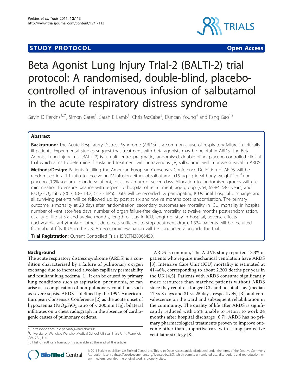## **STUDY PROTOCOL CONSUMING THE CONSUMING OPEN ACCESS**



# Beta Agonist Lung Injury TrIal-2 (BALTI-2) trial protocol: A randomised, double-blind, placebocontrolled of intravenous infusion of salbutamol in the acute respiratory distress syndrome

Gavin D Perkins<sup>1,2\*</sup>, Simon Gates<sup>1</sup>, Sarah E Lamb<sup>1</sup>, Chris McCabe<sup>3</sup>, Duncan Young<sup>4</sup> and Fang Gao<sup>1,2</sup>

### Abstract

Background: The Acute Respiratory Distress Syndrome (ARDS) is a common cause of respiratory failure in critically ill patients. Experimental studies suggest that treatment with beta agonists may be helpful in ARDS. The Beta Agonist Lung Injury TrIal (BALTI-2) is a multicentre, pragmatic, randomised, double-blind, placebo-controlled clinical trial which aims to determine if sustained treatment with intravenous (IV) salbutamol will improve survival in ARDS.

Methods/Design: Patients fulfilling the American-European Consensus Conference Definition of ARDS will be randomised in a 1:1 ratio to receive an IV infusion either of salbutamol (15 µg kg ideal body weight<sup>-1</sup> hr<sup>-1</sup>) or placebo (0.9% sodium chloride solution), for a maximum of seven days. Allocation to randomised groups will use minimisation to ensure balance with respect to hospital of recruitment, age group (<64, 65-84, >85 years) and PaO<sub>2</sub>/FiO<sub>2</sub> ratio (≤6.7, 6.8- 13.2, ≥13.3 kPa). Data will be recorded by participating ICUs until hospital discharge, and all surviving patients will be followed up by post at six and twelve months post randomisation. The primary outcome is mortality at 28 days after randomisation; secondary outcomes are mortality in ICU, mortality in hospital, number of ventilator-free days, number of organ failure-free days, mortality at twelve months post-randomisation, quality of life at six and twelve months, length of stay in ICU, length of stay in hospital, adverse effects (tachycardia, arrhythmia or other side effects sufficient to stop treatment drug). 1,334 patients will be recruited from about fifty ICUs in the UK. An economic evaluation will be conducted alongside the trial.

**Trial Registration:** Current Controlled Trials [ISRCTN38366450.](http://www.controlled-trials.com/ISRCTN38366450)

### Background

The acute respiratory distress syndrome (ARDS) is a condition characterised by a failure of pulmonary oxygen exchange due to increased alveolar-capillary permeability and resultant lung oedema [\[1\]](#page-8-0). It can be caused by primary lung conditions such as aspiration, pneumonia, or can arise as a complication of non-pulmonary conditions such as severe sepsis. ARDS is defined by the 1994 American-European Consensus Conference [\[2](#page-8-0)] as the acute onset of hypoxaemia (PaO<sub>2</sub>:FiO<sub>2</sub> ratio of < 200mm Hg), bilateral infiltrates on a chest radiograph in the absence of cardiogenic causes of pulmonary oedema.

ARDS is common, The ALIVE study reported 13.3% of patients who require mechanical ventilation have ARDS [[3](#page-8-0)]. Intensive Care Unit (ICU) mortality is estimated at 41-46%, corresponding to about 2,200 deaths per year in the UK [[4,5](#page-8-0)]. Patients with ARDS consume significantly more resources than matched patients without ARDS since they require a longer ICU and hospital stay (median 17 vs 8 days and 31 vs 25 days, respectively) [\[3](#page-8-0)], and convalescence on the ward and subsequent rehabilitation in the community. The quality of life after ARDS is significantly reduced with 35% unable to return to work 24 months after hospital discharge [\[6](#page-8-0),[7\]](#page-8-0). ARDS has no primary pharmacological treatments proven to improve outcome other than supportive care with a lung-protective ventilator strategy [[8\]](#page-8-0).



© 2011 Perkins et al; licensee BioMed Central Ltd. This is an Open Access article distributed under the terms of the Creative Commons Attribution License [\(http://creativecommons.org/licenses/by/2.0](http://creativecommons.org/licenses/by/2.0)), which permits unrestricted use, distribution, and reproduction in any medium, provided the original work is properly cited.

<sup>\*</sup> Correspondence: [g.d.perkins@warwick.ac.uk](mailto:g.d.perkins@warwick.ac.uk)

<sup>&</sup>lt;sup>1</sup>University of Warwick, Warwick Medical School Clinical Trials Unit, Warwick, CV4 7AL, UK

Full list of author information is available at the end of the article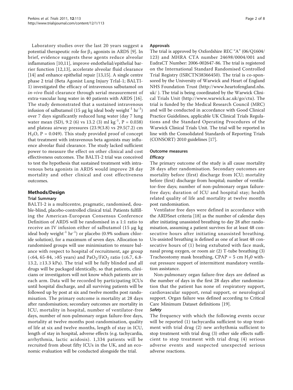Laboratory studies over the last 20 years suggest a potential therapeutic role for  $\beta_2$  agonists in ARDS [[9\]](#page-8-0). In brief, evidence suggests these agents reduce alveolar inflammation [[10,11\]](#page-8-0), improve endothelial/epithelial barrier function [[12,13](#page-8-0)], accelerate alveolar fluid clearance [[14\]](#page-8-0) and enhance epithelial repair [\[13,15](#page-8-0)]. A single centre phase 2 trial (Beta Agonist Lung Injury TrIal-1; BALTI-1) investigated the efficacy of intravenous salbutamol on in-vivo fluid clearance through serial measurement of extra-vascular lung water in 40 patients with ARDS [\[16](#page-8-0)]. The study demonstrated that a sustained intravenous infusion of salbutamol (15 μg kg ideal body weight<sup>-1</sup> hr<sup>-1</sup>) over 7 days significantly reduced lung water (day 7 lung water mean (SD), 9.2 (6) vs 13.2 (3) ml  $kg^{-1}$ , P = 0.038) and plateau airway pressures (23.9(3.8) vs 29.5(7.2) cm  $H<sub>2</sub>O$ , P = 0.049). This study provided proof of concept that treatment with intravenous beta agonists may influence alveolar fluid clearance. The study lacked sufficient power to measure the effect on other clinical and cost effectiveness outcomes. The BALTI-2 trial was conceived to test the hypothesis that sustained treatment with intravenous beta agonists in ARDS would improve 28 day mortality and other clinical and cost effectiveness outcomes.

### Methods/Design

### Trial Summary

BALTI-2 is a multicentre, pragmatic, randomised, double-blind, placebo-controlled clinical trial. Patients fulfilling the American-European Consensus Conference Definition of ARDS will be randomised in a 1:1 ratio to receive an IV infusion either of salbutamol (15 μg kg ideal body weight<sup>-1</sup> hr<sup>-1</sup>) or placebo (0.9% sodium chloride solution), for a maximum of seven days. Allocation to randomised groups will use minimisation to ensure balance with respect to hospital of recruitment, age group (<64, 65-84, >85 years) and PaO<sub>2</sub>/FiO<sub>2</sub> ratio (≤6.7, 6.8-13.2, ≥13.3 kPa). The trial will be fully blinded and all drugs will be packaged identically, so that patients, clinicians or investigators will not know which patients are in each arm. Data will be recorded by participating ICUs until hospital discharge, and all surviving patients will be followed up by post at six and twelve months post randomisation. The primary outcome is mortality at 28 days after randomisation; secondary outcomes are mortality in ICU, mortality in hospital, number of ventilator-free days, number of non-pulmonary organ failure-free days, mortality at twelve months post-randomisation, quality of life at six and twelve months, length of stay in ICU, length of stay in hospital, adverse effects (e.g. tachycardia, arrhythmia, lactic acidosis). 1,334 patients will be recruited from about fifty ICUs in the UK, and an economic evaluation will be conducted alongside the trial.

#### Approvals

The trial is approved by Oxfordshire REC "A" (06/Q1604/ 123) and MHRA CTA number 24698/0004/001 and EudraCT Number: 2006-002647-86. The trial is registered on the International Standard Randomised Controlled Trial Registry (ISRCTN38366450). The trial is co-sponsored by the University of Warwick and Heart of England NHS Foundation Trust ([http://www.heartofengland.nhs.](http://www.heartofengland.nhs.uk/) [uk/](http://www.heartofengland.nhs.uk/) ). The trial is being coordinated by the Warwick Clinical Trials Unit (<http://www.warwick.ac.uk/go/ctu>). The trial is funded by the Medical Research Council (MRC) and will be conducted in accordance with Good Clinical Practice Guidelines, applicable UK Clinical Trials Regulations and the Standard Operating Procedures of the Warwick Clinical Trials Unit. The trial will be reported in line with the Consolidated Standards of Reporting Trials (CONSORT) 2010 guidelines [\[17\]](#page-8-0).

### Outcome measures

The primary outcome of the study is all cause mortality 28 days after randomisation. Secondary outcomes are mortality before (first) discharge from ICU; mortality before (first) discharge from hospital; number of ventilator-free days; number of non-pulmonary organ failurefree days; duration of ICU and hospital stay; health related quality of life and mortality at twelve months post randomisation.

Ventilator free days were defined in accordance with the ARDSnet criteria [[18\]](#page-8-0) as the number of calendar days after initiating unassisted breathing to day 28 after randomisation, assuming a patient survives for at least 48 consecutive hours after initiating unassisted breathing. Un-assisted breathing is defined as one of at least 48 consecutive hours of (1) being extubated with face mask, nasal prong oxygen, or room air (2) T-tube breathing (3) Tracheostomy mask breathing, CPAP = 5 cm  $H_2$ 0 without pressure support of intermittent mandatory ventilation assistance.

Non-pulmonary organ failure-free days are defined as the number of days in the first 28 days after randomization that the patient has none of: respiratory support, cardiovascular support, renal support, or neurological support. Organ failure was defined according to Critical Care Minimum Dataset definitions [\[19\]](#page-8-0).

The frequency with which the following events occur will be reported (1) tachycardia sufficient to stop treatment with trial drug (2) new arrhythmia sufficient to stop treatment with trial drug (3) other side effects sufficient to stop treatment with trial drug (4) serious adverse events and suspected unexpected serious adverse reactions.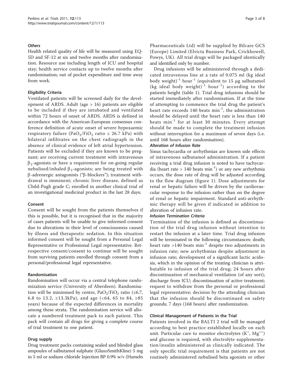#### **Others**

Health related quality of life will be measured using EQ-5D and SF-12 at six and twelve months after randomisation. Resource use including length of ICU and hospital stay; health service contacts up to twelve months after randomisation; out of pocket expenditure and time away from work.

#### Eligibility Criteria

Ventilated patients will be screened daily for the development of ARDS. Adult (age > 16) patients are eligible to be included if they are intubated and ventilated within 72 hours of onset of ARDS. ARDS is defined in accordance with the American-European consensus conference definition of acute onset of severe hypoxaemic respiratory failure (PaO<sub>2</sub>/FiO<sub>2</sub> ratio  $\leq$  26.7 kPa) with bilateral infiltrates on the chest radiograph in the absence of clinical evidence of left atrial hypertension. Patients will be excluded if they are known to be pregnant; are receiving current treatment with intravenous  $\beta_2$ -agonists or have a requirement for on-going regular nebulised/inhaled  $\beta_2$ -agonists; are being treated with  $\beta$ -adrenergic antagonists (" $\beta$ -blockers"); treatment withdrawal is imminent; chronic liver disease, defined as Child-Pugh grade C; enrolled in another clinical trial of an investigational medicinal product in the last 28 days;

#### Consent

Consent will be sought from the patients themselves if this is possible, but it is recognised that in the majority of cases patients will be unable to give informed consent due to alterations in their level of consciousness caused by illness and therapeutic sedation. In this situation informed consent will be sought from a Personal Legal Representative or Professional Legal representative. Retrospective consent/consent to continue will be sought from surviving patients enrolled through consent from a personal/professional legal representative.

#### Randomisation

Randomisation will occur via a central telephone randomization service (University of Aberdeen). Randomisation will be minimised by centre,  $PaO<sub>2</sub>/FiO<sub>2</sub>$  ratio (≤6.7, 6.8 to 13.2, ≥13.3kPa), and age (<64, 65 to 84, ≥85 years) because of the expected differences in mortality among these strata. The randomisation service will allocate a numbered treatment pack to each patient. This pack will contain all drugs for giving a complete course of trial treatment to one patient.

### Drug supply

Drug treatment packs containing sealed and blinded glass ampoules of salbutamol sulphate (GlaxoSmithKline) 5 mg in 5 ml or sodium chloride Injection BP 0.9% w/v (Hameln

Pharmaceuticals Ltd) will be supplied by Bilcare GCS (Europe) Limited (Elvicta Business Park, Crickhowell, Powys, UK). All trial drugs will be packaged identically and identified only by number.

Drug infusions will be administered through a dedicated intravenous line at a rate of 0.075 ml (kg ideal body weight)<sup>-1</sup> hour<sup>-1</sup> (equivalent to 15  $\mu$ g salbutamol (kg ideal body weight) $^{-1}$  hour<sup>-1</sup>) according to the patients height (table [1\)](#page-4-0). Trial drug infusions should be started immediately after randomisation. If at the time of attempting to commence the trial drug the patient's heart rate exceeds 140 beats min<sup>-1</sup>, the administration should be delayed until the heart rate is less than 140 beats  $min^{-1}$  for at least 30 minutes. Every attempt should be made to complete the treatment infusion without interruption for a maximum of seven days (i.e. until 168 hours after randomisation).

#### **Alteration of Infusion Rate**

Sinus tachycardia or arrhythmias are known side effects of intravenous salbutamol administration. If a patient receiving a trial drug infusion is noted to have tachycardia (heart rate > 140 beats min<sup>-1</sup>) or any new arrhythmia occurs, the dose rate of drug will be adjusted according to the flow diagram (figure [1](#page-5-0)). Dose adjustments for renal or hepatic failure will be driven by the cardiovascular response to the infusion rather than on the degree of renal or hepatic impairment. Standard anti-arrhythmic therapy will be given if indicated in addition to alteration of infusion rate.

### **Infusion Termination Criteria**

Termination of the infusion is defined as discontinuation of the trial drug infusion without intention to restart the infusion at a later time. Trial drug infusion will be terminated in the following circumstances: death; heart rate  $>140$  beats min<sup>-1</sup> despite two adjustments in infusion rate; new arrhythmias despite adjustment in infusion rate; development of a significant lactic acidosis, which in the opinion of the treating clinician is attributable to infusion of the trial drug; 24 hours after discontinuation of mechanical ventilation (of any sort); discharge from ICU; discontinuation of active treatment; request to withdraw from the personal or professional legal representative; decision by the attending clinician that the infusion should be discontinued on safety grounds; 7 days (168 hours) after randomization.

### Clinical Management of Patients in the Trial

Patients involved in the BALTI 2 trial will be managed according to best practice established locally on each unit. Particular care to monitor electrolytes  $(K^{+}, Mg^{++})$ and glucose is required, with electrolyte supplementation/insulin administered as clinically indicated. The only specific trial requirement is that patients are not routinely administered nebulised beta agonists or other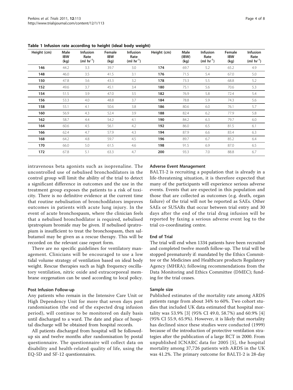| Height (cm) | Male<br><b>IBW</b><br>(kg) | <b>Infusion</b><br>Rate<br>$(ml hr-1)$ | Female<br><b>IBW</b><br>(kg) | Infusion<br>Rate<br>$(ml hr^{-1})$ | Height (cm) | Male<br>(IBW)<br>(kg) | Infusion<br>Rate<br>$(ml hr^{-1})$ | Female<br><b>IBW</b><br>(kg) | <b>Infusion</b><br>Rate<br>$(ml hr^{-1})$ |
|-------------|----------------------------|----------------------------------------|------------------------------|------------------------------------|-------------|-----------------------|------------------------------------|------------------------------|-------------------------------------------|
| 146         | 44.2                       | 3.3                                    | 39.7                         | 3.0                                | 174         | 69.7                  | 5.2                                | 65.2                         | 4.9                                       |
| 148         | 46.0                       | 3.5                                    | 41.5                         | 3.1                                | 176         | 71.5                  | 5.4                                | 67.0                         | 5.0                                       |
| 150         | 47.8                       | 3.6                                    | 43.3                         | 3.2                                | 178         | 73.3                  | 5.5                                | 68.8                         | 5.2                                       |
| 152         | 49.6                       | 3.7                                    | 45.1                         | 3.4                                | 180         | 75.1                  | 5.6                                | 70.6                         | 5.3                                       |
| 154         | 51.5                       | 3.9                                    | 47.0                         | 3.5                                | 182         | 76.9                  | 5.8                                | 72.4                         | 5.4                                       |
| 156         | 53.3                       | 4.0                                    | 48.8                         | 3.7                                | 184         | 78.8                  | 5.9                                | 74.3                         | 5.6                                       |
| 158         | 55.1                       | 4.1                                    | 50.6                         | 3.8                                | 186         | 80.6                  | 6.0                                | 76.1                         | 5.7                                       |
| 160         | 56.9                       | 4.3                                    | 52.4                         | 3.9                                | 188         | 82.4                  | 6.2                                | 77.9                         | 5.8                                       |
| 162         | 58.7                       | 4.4                                    | 54.2                         | 4.1                                | 190         | 84.2                  | 6.3                                | 79.7                         | 6.0                                       |
| 164         | 60.6                       | 4.5                                    | 56.1                         | 4.2                                | 192         | 86.0                  | 6.5                                | 81.5                         | 6.1                                       |
| 166         | 62.4                       | 4.7                                    | 57.9                         | 4.3                                | 194         | 87.9                  | 6.6                                | 83.4                         | 6.3                                       |
| 168         | 64.2                       | 4.8                                    | 59.7                         | 4.5                                | 196         | 89.7                  | 6.7                                | 85.2                         | 6.4                                       |
| 170         | 66.0                       | 5.0                                    | 61.5                         | 4.6                                | 198         | 91.5                  | 6.9                                | 87.0                         | 6.5                                       |
| 172         | 67.8                       | 5.1                                    | 63.3                         | 4.7                                | 200         | 93.3                  | 7.0                                | 88.8                         | 6.7                                       |
|             |                            |                                        |                              |                                    |             |                       |                                    |                              |                                           |

<span id="page-4-0"></span>Table 1 Infusion rate according to height (ideal body weight)

intravenous beta agonists such as isoprenaline. The uncontrolled use of nebulised bronchodilators in the control group will limit the ability of the trial to detect a significant difference in outcomes and the use in the treatment group exposes the patients to a risk of toxicity. There is no definitive evidence at the current time that routine nebulisation of bronchodilators improves outcomes in patients with acute lung injury. In the event of acute bronchospasm, where the clinician feels that a nebulised bronchodilator is required, nebulised ipratropium bromide may be given. If nebulised ipratropium is insufficient to treat the bronchospasm, then salbutamol may be given as a rescue therapy. This will be recorded on the relevant case report form.

There are no specific guidelines for ventilatory management. Clinicians will be encouraged to use a low tidal volume strategy of ventilation based on ideal body weight. Rescue therapies such as high frequency oscillatory ventilation, nitric oxide and extracorporeal membrane oxygenation can be used according to local policy.

### Post Infusion Follow-up

Any patients who remain in the Intensive Care Unit or High Dependency Unit for more that seven days post randomisation (the end of the expected drug infusion period), will continue to be monitored on daily basis until discharged to a ward. The date and place of hospital discharge will be obtained from hospital records.

All patients discharged from hospital will be followedup six and twelve months after randomisation by postal questionnaire. The questionnaire will collect data on disability and health-related quality of life, using the EQ-5D and SF-12 questionnaires.

#### Adverse Event Management

BALTI-2 is recruiting a population that is already in a life-threatening situation, it is therefore expected that many of the participants will experience serious adverse events. Events that are expected in this population and those that are collected as outcomes (e.g. death, organ failure) of the trial will not be reported as SAEs. Other SAEs or SUSARs that occur between trial entry and 30 days after the end of the trial drug infusion will be reported by faxing a serious adverse event log to the trial co-coordinating centre.

#### End of Trial

The trial will end when 1334 patients have been recruited and completed twelve month follow-up. The trial will be stopped prematurely if: mandated by the Ethics Committee or the Medicines and Healthcare products Regulatory Agency (MHRA); following recommendations from the Data Monitoring and Ethics Committee (DMEC); funding for the trial ceases.

#### Sample size

Published estimates of the mortality rate among ARDS patients range from about 34% to 60%. Two cohort studies that included UK data estimated that hospital mortality was 53.9% [[3\]](#page-8-0) (95% CI 49.0, 58.7%) and 60.9% [\[4](#page-8-0)] (95% CI 55.9, 65.9%). However, it is likely that mortality has declined since these studies were conducted (1999) because of the introduction of protective ventilation strategies after the publication of a large RCT in 2000. From unpublished ICNARC data for 2005 [[5\]](#page-8-0), the hospital mortality among 37,726 patients with ARDS in the UK was 41.2%. The primary outcome for BALTI-2 is 28-day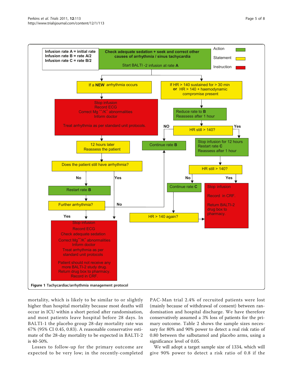<span id="page-5-0"></span>

mortality, which is likely to be similar to or slightly higher than hospital mortality because most deaths will occur in ICU within a short period after randomisation, and most patients leave hospital before 28 days. In BALTI-1 the placebo group 28-day mortality rate was 67% (95% CI 0.45, 0.83). A reasonable conservative estimate of the 28-day mortality to be expected in BALTI-2 is 40-50%.

Losses to follow-up for the primary outcome are expected to be very low; in the recently-completed

PAC-Man trial 2.4% of recruited patients were lost (mainly because of withdrawal of consent) between randomisation and hospital discharge. We have therefore conservatively assumed a 3% loss of patients for the primary outcome. Table [2](#page-6-0) shows the sample sizes necessary for 80% and 90% power to detect a real risk ratio of 0.80 between the salbutamol and placebo arms, using a significance level of 0.05.

We will adopt a target sample size of 1334, which will give 90% power to detect a risk ratio of 0.8 if the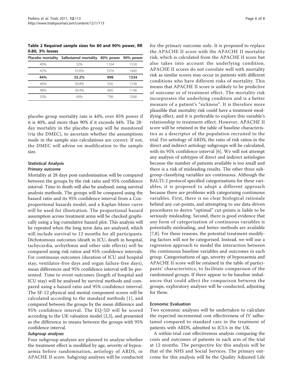<span id="page-6-0"></span>Table 2 Required sample sizes for 80 and 90% power, RR 0.80, 3% losses

|     | Placebo mortality Salbutamol mortality | 80% power 90% power |      |
|-----|----------------------------------------|---------------------|------|
| 40% | 32%                                    | 1164                | 1558 |
| 42% | 33.6%                                  | 1076                | 1440 |
| 44% | 35.2%                                  | 998                 | 1334 |
| 46% | 36.8%                                  | 926                 | 1238 |
| 48% | 38.4%                                  | 860                 | 1148 |
| 50% | 40%                                    | 798                 | 1068 |

placebo group mortality rate is 44%, over 85% power if it is 40%, and more than 90% if it exceeds 44%. The 28 day mortality in the placebo group will be monitored (via the DMEC), to ascertain whether the assumptions made in the sample size calculations are correct. If not, the DMEC will advise on modification to the sample size.

### Statistical Analysis

Mortality at 28 days post-randomisation will be compared between the groups by the risk ratio and 95% confidence interval. Time to death will also be analysed, using survival analysis methods. The groups will be compared using the hazard ratio and its 95% confidence interval from a Coxproportional hazards model, and a Kaplan-Meier curve will be used for illustration. The proportional hazard assumption across treatment arms will be checked graphically using a log-cumulative hazard plot. This analysis will be repeated when the long term data are analysed, which will include survival to 12 months for all participants. Dichotomous outcomes (death in ICU, death in hospital, tachycardia, arrhythmia and other side effects) will be compared using risk ratios and 95% confidence intervals. For continuous outcomes (duration of ICU and hospital stay, ventilator-free days and organ failure-free days), mean differences and 95% confidence interval will be presented. Time to event outcomes (length of hospital and ICU stay) will be analysed by survival methods and compared using a hazard ratio and 95% confidence interval. The SF-12 physical and mental component scores will be calculated according to the standard methods [[1](#page-8-0)], and compared between the groups by the mean difference and 95% confidence interval. The EQ-5D will be scored according to the UK valuation model [\[2,3](#page-8-0)], and presented as the difference in means between the groups with 95% confidence interval.

Four subgroup analyses are planned to analyse whether the treatment effect is modified by age, severity of hypoxaemia before randomisation, aetiology of ARDS, or APACHE II score. Subgroup analyses will be conducted for the primary outcome only. It is proposed to replace the APACHE II score with the APACHE II mortality risk, which is calculated from the APACHE II score but also takes into account the underlying condition. APACHE II scores do not correlate well with mortality risk as similar scores may occur in patients with different conditions who have different risks of mortality. This means that APACHE II score is unlikely to be predictive of outcome or of treatment effect. The mortality risk incorporates the underlying condition and is a better measure of a patient's "sickness". It is therefore more plausible that mortality risk could have a treatment-modifying effect, and it is preferable to explore this variable's relationship to treatment effect. However, APACHE II score will be retained in the table of baseline characteristics as a descriptor of the population recruited to the trial. For aetiology of ARDS, the ratio of risk ratios in the direct and indirect aetiology subgroups will be calculated, with its 95% confidence interval [\[6\]](#page-8-0). We will not attempt any analysis of subtypes of direct and indirect aetiologies because the number of patients available is too small and there is a risk of misleading results. The other three subgroup-classifying variables are continuous. Although the BALTI-2 protocol specified categorisations for these variables, it is proposed to adopt a different approach because there are problems with categorising continuous variables. First, there is no clear biological rationale behind any cut-points, and attempting to use data-driven procedures to derive "optimal" cut-points is liable to be seriously misleading. Second, there is good evidence that any form of categorisation of continuous variables is potentially misleading, and better methods are available [[7,8](#page-8-0)]. For these reasons, the potential treatment-modifying factors will not be categorised. Instead, we will use a regression approach to model the interaction between the continuous baseline variables and outcomes in each group. Categorisations of age, severity of hypoxaemia and APACHE II score will be retained in the table of participants' characteristics, to facilitate comparison of the randomised groups. If there appear to be baseline imbalances that could affect the comparison between the groups, exploratory analyses will be conducted, adjusting for these.

### Economic Evaluation

Two economic analyses will be undertaken to calculate the expected incremental cost effectiveness of IV salbutamol compared to standard care in the treatment of patients with ARDS, admitted to ICUs in the UK.

A within-trial cost effectiveness analysis comparing the costs and outcomes of patients in each arm of the trial at 12 months. The perspective for this analysis will be that of the NHS and Social Services. The primary outcome for this analysis will be the Quality Adjusted Life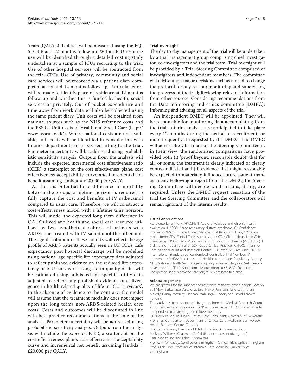Years (QALY's). Utilities will be measured using the EQ-5D at 6 and 12 months follow-up. Within ICU resource use will be identified through a detailed costing study undertaken at a sample of ICUs recruiting to the trial. Use of other hospital services will be abstracted from the trial CRFs. Use of primary, community and social care services will be recorded via a patient diary completed at six and 12 months follow-up. Particular effort will be made to identify place of residence at 12 months follow-up and whether this is funded by health, social services or privately. Out of pocket expenditure and time away from work data will also be collected using the same patient diary. Unit costs will be obtained from national sources such as the NHS reference costs and the PSSRU Unit Costs of Health and Social Care ([http://](http://www.pssru.ac.uk/) [www.pssru.ac.uk/\)](http://www.pssru.ac.uk/). Where national costs are not available, unit costs will be identified in consultation with finance departments of trusts recruiting to the trial. Parameter uncertainty will be addressed using probabilistic sensitivity analysis. Outputs from the analysis will include the expected incremental cost effectiveness ratio (ICER), a scatterplot on the cost effectiveness plane, cost effectiveness acceptability curve and incremental net benefit assuming lambda =  $£20,000$  per QALY.

As there is potential for a difference in mortality between the groups, a lifetime horizon is required to fully capture the cost and benefits of IV salbutamol compared to usual care. Therefore, we will construct a cost effectiveness model with a lifetime time horizon. This will model the expected long term difference in QALY's lived and health and social care resource utilised by two hypothetical cohorts of patients with ARDS; one treated with IV salbutamol the other not. The age distribution of these cohorts will reflect the age profile of ARDS patients actually seen in UK ICUs. Life expectancy post hospital discharge will be modelled using national age specific life expectancy data adjusted to reflect published evidence on the reduced life expectancy of ICU 'survivors'. Long- term quality of life will be estimated using published age-specific utility data adjusted to reflect any published evidence of a divergence in health related quality of life in ICU 'survivors'. In the absence of evidence to the contrary, the model will assume that the treatment modality does not impact upon the long terms non-ARDS-related health care costs. Costs and outcomes will be discounted in line with best practice recommendations at the time of the analysis. Parameter uncertainty will be addressed using probabilistic sensitivity analysis. Outputs from the analysis will include the expected ICER, a scatterplot on the cost effectiveness plane, cost effectiveness acceptability curve and incremental net benefit assuming lambda = £20,000 per QALY.

#### Trial oversight

The day to day management of the trial will be undertaken by a trial management group comprising chief investigator, co-investigators and the trial team. Trial oversight will be provided by a Trial Steering Committee comprised of investigators and independent members. The committee will advise upon major decisions such as a need to change the protocol for any reason; monitoring and supervising the progress of the trial; Reviewing relevant information from other sources; Considering recommendations from the Data monitoring and ethics committee (DMEC); Informing and advising on all aspects of the trial.

An independent DMEC will be appointed. They will be responsible for monitoring data accumulating from the trial. Interim analyses are anticipated to take place every 12 months during the period of recruitment, or more frequently if requested by the DMEC. The DMEC will advise the Chairman of the Steering Committee if, in their view, the randomised comparisons have provided both (i) 'proof beyond reasonable doubt' that for all, or some, the treatment is clearly indicated or clearly contra-indicated and (ii) evidence that might reasonably be expected to materially influence future patient management. Following a report from the DMEC, the Steering Committee will decide what actions, if any, are required. Unless the DMEC request cessation of the trial the Steering Committee and the collaborators will remain ignorant of the interim results.

#### List of Abbreviations

ALI: Acute lung injury; APACHE II: Acute physiology and chronic health evaluation II; ARDS: Acute respiratory distress syndrome; CI: Confidence interval; CONSORT: Consolidated Standards of Reporting Trials; CRF: Case report form; CTA: Clinical Trials Authorisation; CTU: Clinical Trials Unit; CXR: Chest X-ray; DMEC: Data Monitoring and Ethics Committee; EQ-5D: EuroQol 5 dimension questionnaire; GCP: Good Clinical Practice; ICNARC: Intensive Care National Audit and Research Centre; ICU: Intensive Care Unit; ISRCTN: International Standardised Randomised Controlled Trial Number; IV: Intravenous; MHRA: Medicines and Healthcare products Regulatory Agency; NHS: National Health Service; QALY: Quality adjusted life years; SAE: Serious adverse event; SF-12: Short form 12 questionnaire; SUSAR: Suspected unexpected serious adverse reaction; VFD: Ventilator free days.

#### Acknowledgements

We are grateful for the support and assistance of the following people: Jocelyn Bell, Vicky Barber, Sue Dale, Rinat Ezra, Hayley Johnson, Tariq Latif, Teresa Melody, Danny McAuley, Hannah Reah, Inga Rudders, and David Thickett Funding

The study has been supported by grants from the Medical Research Council and Intensive Care Foundation. GDP is funded as an NIHR Clinician Scientist. Independent trial steering committee members

Dr Simon Baudouin (Chair), Critical Care Consultant, University of Newcastle Prof Brian Cuthbertson, Department of Critical Care Medicine, Sunnybrook Health Sciences Centre, Toronto

Prof Kathy Rowan, Director of ICNARC, Tavistock House, London Mr Barry Williams, Chairman CritPal (Patient representative group) Data Monitoring and Ethics Committee

Prof Keith Wheatley, Co-director Birmingham Clinical Trials Unit, Birmingham Prof Julian Bion, Professor of Intensive Care Medicine, University of Birmingham